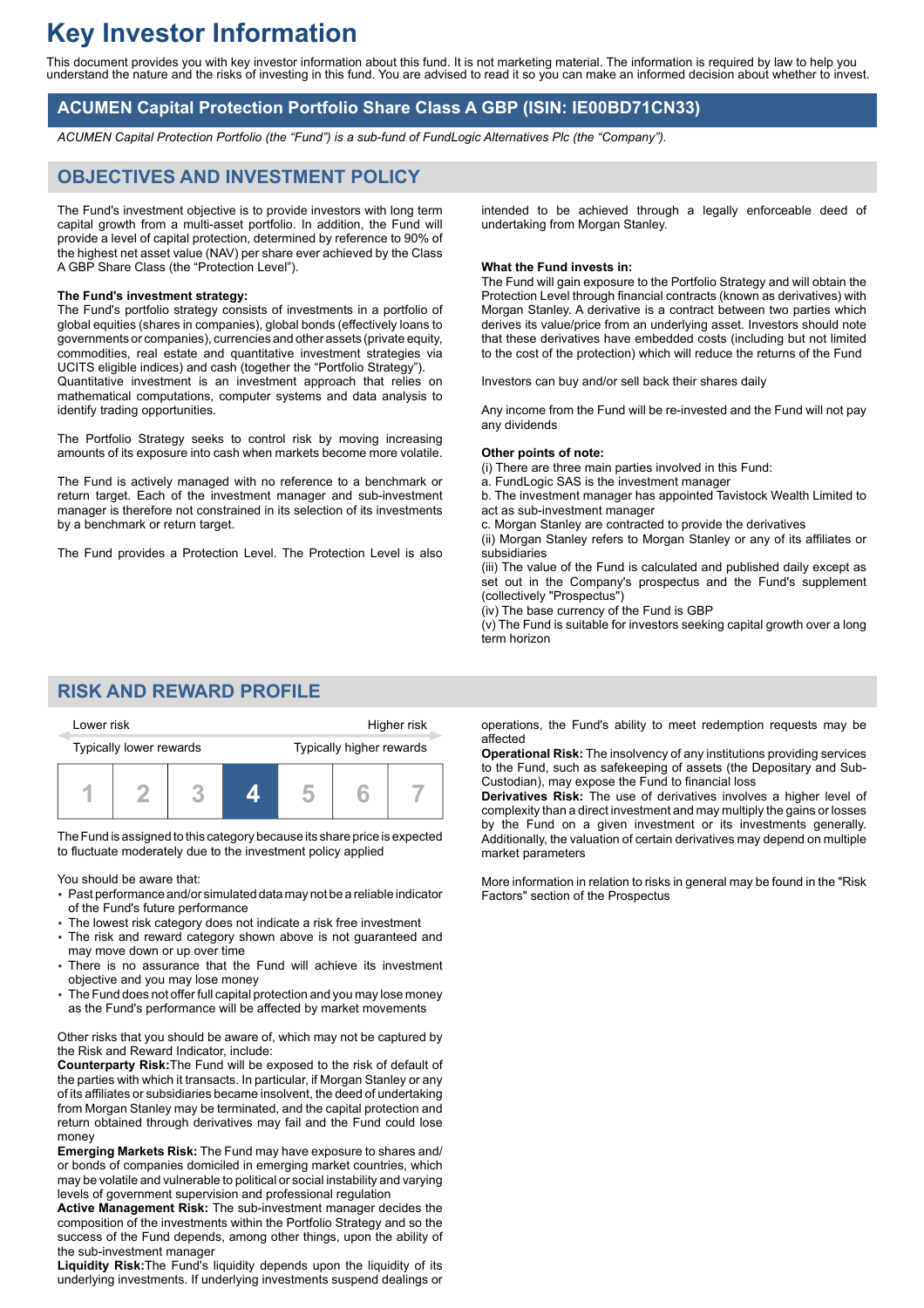# **Key Investor Information**

This document provides you with key investor information about this fund. It is not marketing material. The information is required by law to help you understand the nature and the risks of investing in this fund. You are advised to read it so you can make an informed decision about whether to invest.

### **ACUMEN Capital Protection Portfolio Share Class A GBP (ISIN: IE00BD71CN33)**

*ACUMEN Capital Protection Portfolio (the "Fund") is a sub-fund of FundLogic Alternatives Plc (the "Company").*

### **OBJECTIVES AND INVESTMENT POLICY**

The Fund's investment objective is to provide investors with long term capital growth from a multi-asset portfolio. In addition, the Fund will provide a level of capital protection, determined by reference to 90% of the highest net asset value (NAV) per share ever achieved by the Class A GBP Share Class (the "Protection Level").

#### **The Fund's investment strategy:**

The Fund's portfolio strategy consists of investments in a portfolio of global equities (shares in companies), global bonds (effectively loans to governments or companies), currencies and other assets (private equity, commodities, real estate and quantitative investment strategies via UCITS eligible indices) and cash (together the "Portfolio Strategy"). Quantitative investment is an investment approach that relies on mathematical computations, computer systems and data analysis to identify trading opportunities.

The Portfolio Strategy seeks to control risk by moving increasing amounts of its exposure into cash when markets become more volatile.

The Fund is actively managed with no reference to a benchmark or return target. Each of the investment manager and sub-investment manager is therefore not constrained in its selection of its investments by a benchmark or return target.

The Fund provides a Protection Level. The Protection Level is also

intended to be achieved through a legally enforceable deed of undertaking from Morgan Stanley.

#### **What the Fund invests in:**

The Fund will gain exposure to the Portfolio Strategy and will obtain the Protection Level through financial contracts (known as derivatives) with Morgan Stanley. A derivative is a contract between two parties which derives its value/price from an underlying asset. Investors should note that these derivatives have embedded costs (including but not limited to the cost of the protection) which will reduce the returns of the Fund

Investors can buy and/or sell back their shares daily

Any income from the Fund will be re-invested and the Fund will not pay any dividends

#### **Other points of note:**

(i) There are three main parties involved in this Fund:

a. FundLogic SAS is the investment manager

b. The investment manager has appointed Tavistock Wealth Limited to act as sub-investment manager

c. Morgan Stanley are contracted to provide the derivatives

(ii) Morgan Stanley refers to Morgan Stanley or any of its affiliates or subsidiaries

(iii) The value of the Fund is calculated and published daily except as set out in the Company's prospectus and the Fund's supplement (collectively "Prospectus")

(iv) The base currency of the Fund is GBP

(v) The Fund is suitable for investors seeking capital growth over a long term horizon

### **RISK AND REWARD PROFILE**

| Lower risk              |  |  | Higher risk |                          |  |  |
|-------------------------|--|--|-------------|--------------------------|--|--|
| Typically lower rewards |  |  |             | Typically higher rewards |  |  |
|                         |  |  |             |                          |  |  |

The Fund is assigned to this category because its share price is expected to fluctuate moderately due to the investment policy applied

You should be aware that:

- Past performance and/or simulated data may not be a reliable indicator of the Fund's future performance
- The lowest risk category does not indicate a risk free investment
- The risk and reward category shown above is not guaranteed and may move down or up over time
- There is no assurance that the Fund will achieve its investment objective and you may lose money
- The Fund does not offer full capital protection and you may lose money as the Fund's performance will be affected by market movements

Other risks that you should be aware of, which may not be captured by the Risk and Reward Indicator, include:

**Counterparty Risk:**The Fund will be exposed to the risk of default of the parties with which it transacts. In particular, if Morgan Stanley or any of its affiliates or subsidiaries became insolvent, the deed of undertaking from Morgan Stanley may be terminated, and the capital protection and return obtained through derivatives may fail and the Fund could lose money

**Emerging Markets Risk:** The Fund may have exposure to shares and/ or bonds of companies domiciled in emerging market countries, which may be volatile and vulnerable to political or social instability and varying levels of government supervision and professional regulation

**Active Management Risk:** The sub-investment manager decides the composition of the investments within the Portfolio Strategy and so the success of the Fund depends, among other things, upon the ability of the sub-investment manager

**Liquidity Risk:**The Fund's liquidity depends upon the liquidity of its underlying investments. If underlying investments suspend dealings or

operations, the Fund's ability to meet redemption requests may be affected

**Operational Risk:** The insolvency of any institutions providing services to the Fund, such as safekeeping of assets (the Depositary and Sub-Custodian), may expose the Fund to financial loss

**Derivatives Risk:** The use of derivatives involves a higher level of complexity than a direct investment and may multiply the gains or losses by the Fund on a given investment or its investments generally. Additionally, the valuation of certain derivatives may depend on multiple market parameters

More information in relation to risks in general may be found in the "Risk Factors" section of the Prospectus